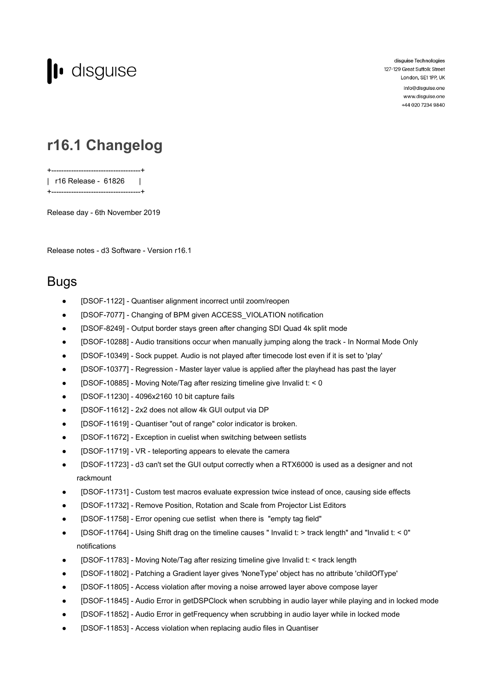

disguise Technologies 127-129 Great Suffolk Street London, SE1 1PP, UK info@disguise.one

www.disguise.one +44 020 7234 9840

## **r16.1 Changelog**

+------------------------------------+ | r16 Release - 61826 | +------------------------------------+

Release day - 6th November 2019

Release notes - d3 Software - Version r16.1

## Bugs

- [DSOF-1122] Quantiser alignment incorrect until zoom/reopen
- [DSOF-7077] Changing of BPM given ACCESS\_VIOLATION notification
- [DSOF-8249] Output border stays green after changing SDI Quad 4k split mode
- [DSOF-10288] Audio transitions occur when manually jumping along the track In Normal Mode Only
- [DSOF-10349] Sock puppet. Audio is not played after timecode lost even if it is set to 'play'
- [DSOF-10377] Regression Master layer value is applied after the playhead has past the layer
- [DSOF-10885] Moving Note/Tag after resizing timeline give Invalid t: < 0
- [DSOF-11230] 4096x2160 10 bit capture fails
- [DSOF-11612] 2x2 does not allow 4k GUI output via DP
- [DSOF-11619] Quantiser "out of range" color indicator is broken.
- [DSOF-11672] Exception in cuelist when switching between setlists
- [DSOF-11719] VR teleporting appears to elevate the camera
- [DSOF-11723] d3 can't set the GUI output correctly when a RTX6000 is used as a designer and not rackmount
- [DSOF-11731] Custom test macros evaluate expression twice instead of once, causing side effects
- [DSOF-11732] Remove Position, Rotation and Scale from Projector List Editors
- [DSOF-11758] Error opening cue setlist when there is "empty tag field"
- [DSOF-11764] Using Shift drag on the timeline causes " Invalid t: > track length" and "Invalid t: < 0" notifications
- [DSOF-11783] Moving Note/Tag after resizing timeline give Invalid t: < track length
- [DSOF-11802] Patching a Gradient layer gives 'NoneType' object has no attribute 'childOfType'
- [DSOF-11805] Access violation after moving a noise arrowed layer above compose layer
- [DSOF-11845] Audio Error in getDSPClock when scrubbing in audio layer while playing and in locked mode
- [DSOF-11852] Audio Error in getFrequency when scrubbing in audio layer while in locked mode
- [DSOF-11853] Access violation when replacing audio files in Quantiser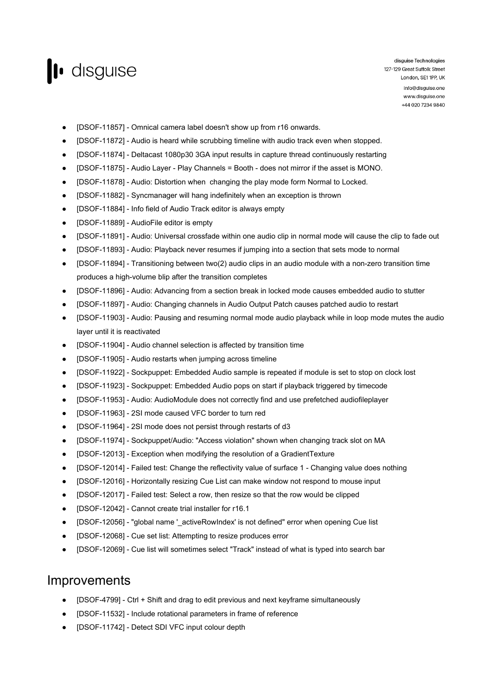

disguise Technologies 127-129 Great Suffolk Street London, SE1 1PP, UK info@disguise.one www.disguise.one +44 020 7234 9840

- [DSOF-11857] Omnical camera label doesn't show up from r16 onwards.
- [DSOF-11872] Audio is heard while scrubbing timeline with audio track even when stopped.
- [DSOF-11874] Deltacast 1080p30 3GA input results in capture thread continuously restarting
- [DSOF-11875] Audio Layer Play Channels = Booth does not mirror if the asset is MONO.
- [DSOF-11878] Audio: Distortion when changing the play mode form Normal to Locked.
- [DSOF-11882] Syncmanager will hang indefinitely when an exception is thrown
- [DSOF-11884] Info field of Audio Track editor is always empty
- [DSOF-11889] AudioFile editor is empty
- [DSOF-11891] Audio: Universal crossfade within one audio clip in normal mode will cause the clip to fade out
- [DSOF-11893] Audio: Playback never resumes if jumping into a section that sets mode to normal
- [DSOF-11894] Transitioning between two(2) audio clips in an audio module with a non-zero transition time produces a high-volume blip after the transition completes
- [DSOF-11896] Audio: Advancing from a section break in locked mode causes embedded audio to stutter
- [DSOF-11897] Audio: Changing channels in Audio Output Patch causes patched audio to restart
- [DSOF-11903] Audio: Pausing and resuming normal mode audio playback while in loop mode mutes the audio layer until it is reactivated
- [DSOF-11904] Audio channel selection is affected by transition time
- [DSOF-11905] Audio restarts when jumping across timeline
- [DSOF-11922] Sockpuppet: Embedded Audio sample is repeated if module is set to stop on clock lost
- [DSOF-11923] Sockpuppet: Embedded Audio pops on start if playback triggered by timecode
- [DSOF-11953] Audio: AudioModule does not correctly find and use prefetched audiofileplayer
- [DSOF-11963] 2SI mode caused VFC border to turn red
- [DSOF-11964] 2SI mode does not persist through restarts of d3
- [DSOF-11974] Sockpuppet/Audio: "Access violation" shown when changing track slot on MA
- [DSOF-12013] Exception when modifying the resolution of a GradientTexture
- [DSOF-12014] Failed test: Change the reflectivity value of surface 1 Changing value does nothing
- [DSOF-12016] Horizontally resizing Cue List can make window not respond to mouse input
- [DSOF-12017] Failed test: Select a row, then resize so that the row would be clipped
- [DSOF-12042] Cannot create trial installer for r16.1
- [DSOF-12056] "global name '\_activeRowIndex' is not defined" error when opening Cue list
- [DSOF-12068] Cue set list: Attempting to resize produces error
- [DSOF-12069] Cue list will sometimes select "Track" instead of what is typed into search bar

## Improvements

- [DSOF-4799] Ctrl + Shift and drag to edit previous and next keyframe simultaneously
- [DSOF-11532] Include rotational parameters in frame of reference
- [DSOF-11742] Detect SDI VFC input colour depth